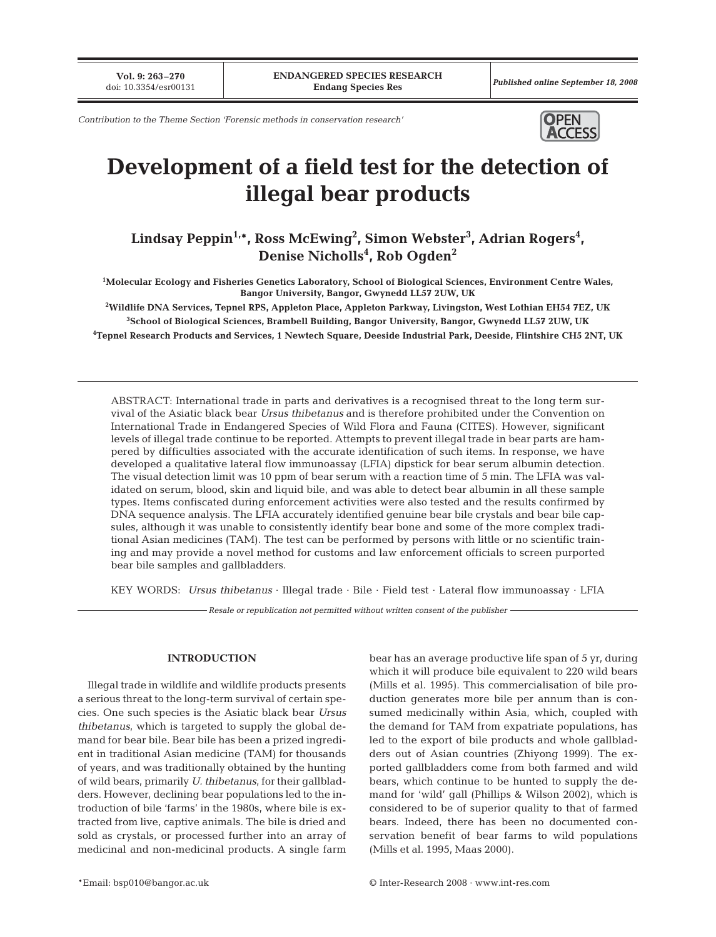**Vol. 9: 263-270**<br>doi: 10.3354/esr00131

Published online September 18, 2008

*Contribution to the Theme Section 'Forensic methods in conservation research'*



# **Development of a field test for the detection of illegal bear products**

**Lindsay Peppin1,\*, Ross McEwing2 , Simon Webster3 , Adrian Rogers4 , Denise Nicholls4 , Rob Ogden2**

**1 Molecular Ecology and Fisheries Genetics Laboratory, School of Biological Sciences, Environment Centre Wales, Bangor University, Bangor, Gwynedd LL57 2UW, UK**

**2 Wildlife DNA Services, Tepnel RPS, Appleton Place, Appleton Parkway, Livingston, West Lothian EH54 7EZ, UK 3 School of Biological Sciences, Brambell Building, Bangor University, Bangor, Gwynedd LL57 2UW, UK 4 Tepnel Research Products and Services, 1 Newtech Square, Deeside Industrial Park, Deeside, Flintshire CH5 2NT, UK**

ABSTRACT: International trade in parts and derivatives is a recognised threat to the long term survival of the Asiatic black bear *Ursus thibetanus* and is therefore prohibited under the Convention on International Trade in Endangered Species of Wild Flora and Fauna (CITES). However, significant levels of illegal trade continue to be reported. Attempts to prevent illegal trade in bear parts are hampered by difficulties associated with the accurate identification of such items. In response, we have developed a qualitative lateral flow immunoassay (LFIA) dipstick for bear serum albumin detection. The visual detection limit was 10 ppm of bear serum with a reaction time of 5 min. The LFIA was validated on serum, blood, skin and liquid bile, and was able to detect bear albumin in all these sample types. Items confiscated during enforcement activities were also tested and the results confirmed by DNA sequence analysis. The LFIA accurately identified genuine bear bile crystals and bear bile capsules, although it was unable to consistently identify bear bone and some of the more complex traditional Asian medicines (TAM). The test can be performed by persons with little or no scientific training and may provide a novel method for customs and law enforcement officials to screen purported bear bile samples and gallbladders.

KEY WORDS: *Ursus thibetanus* · Illegal trade · Bile · Field test · Lateral flow immunoassay · LFIA

*Resale or republication not permitted without written consent of the publisher*

# **INTRODUCTION**

Illegal trade in wildlife and wildlife products presents a serious threat to the long-term survival of certain species. One such species is the Asiatic black bear *Ursus thibetanus*, which is targeted to supply the global demand for bear bile. Bear bile has been a prized ingredient in traditional Asian medicine (TAM) for thousands of years, and was traditionally obtained by the hunting of wild bears, primarily *U. thibetanus*, for their gallbladders. However, declining bear populations led to the introduction of bile 'farms' in the 1980s, where bile is extracted from live, captive animals. The bile is dried and sold as crystals, or processed further into an array of medicinal and non-medicinal products. A single farm

bear has an average productive life span of 5 yr, during which it will produce bile equivalent to 220 wild bears (Mills et al. 1995). This commercialisation of bile production generates more bile per annum than is consumed medicinally within Asia, which, coupled with the demand for TAM from expatriate populations, has led to the export of bile products and whole gallbladders out of Asian countries (Zhiyong 1999). The exported gallbladders come from both farmed and wild bears, which continue to be hunted to supply the demand for 'wild' gall (Phillips & Wilson 2002), which is considered to be of superior quality to that of farmed bears. Indeed, there has been no documented conservation benefit of bear farms to wild populations (Mills et al. 1995, Maas 2000).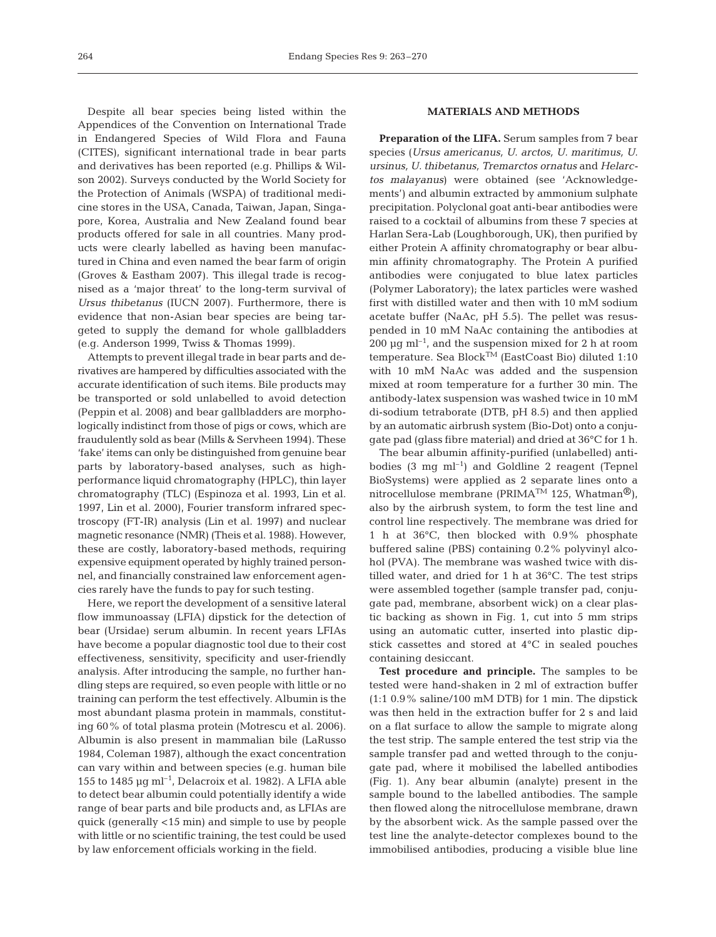Despite all bear species being listed within the Appendices of the Convention on International Trade in Endangered Species of Wild Flora and Fauna (CITES), significant international trade in bear parts and derivatives has been reported (e.g. Phillips & Wilson 2002). Surveys conducted by the World Society for the Protection of Animals (WSPA) of traditional medicine stores in the USA, Canada, Taiwan, Japan, Singapore, Korea, Australia and New Zealand found bear products offered for sale in all countries. Many products were clearly labelled as having been manufactured in China and even named the bear farm of origin (Groves & Eastham 2007). This illegal trade is recognised as a 'major threat' to the long-term survival of *Ursus thibetanus* (IUCN 2007). Furthermore, there is evidence that non-Asian bear species are being targeted to supply the demand for whole gallbladders (e.g. Anderson 1999, Twiss & Thomas 1999).

Attempts to prevent illegal trade in bear parts and derivatives are hampered by difficulties associated with the accurate identification of such items. Bile products may be transported or sold unlabelled to avoid detection (Peppin et al. 2008) and bear gallbladders are morphologically indistinct from those of pigs or cows, which are fraudulently sold as bear (Mills & Servheen 1994). These 'fake' items can only be distinguished from genuine bear parts by laboratory-based analyses, such as highperformance liquid chromatography (HPLC), thin layer chromatography (TLC) (Espinoza et al. 1993, Lin et al. 1997, Lin et al. 2000), Fourier transform infrared spectroscopy (FT-IR) analysis (Lin et al. 1997) and nuclear magnetic resonance (NMR) (Theis et al. 1988). However, these are costly, laboratory-based methods, requiring expensive equipment operated by highly trained personnel, and financially constrained law enforcement agencies rarely have the funds to pay for such testing.

Here, we report the development of a sensitive lateral flow immunoassay (LFIA) dipstick for the detection of bear (Ursidae) serum albumin. In recent years LFIAs have become a popular diagnostic tool due to their cost effectiveness, sensitivity, specificity and user-friendly analysis. After introducing the sample, no further handling steps are required, so even people with little or no training can perform the test effectively. Albumin is the most abundant plasma protein in mammals, constituting 60% of total plasma protein (Motrescu et al. 2006). Albumin is also present in mammalian bile (LaRusso 1984, Coleman 1987), although the exact concentration can vary within and between species (e.g. human bile 155 to 1485  $\mu$ g ml<sup>-1</sup>, Delacroix et al. 1982). A LFIA able to detect bear albumin could potentially identify a wide range of bear parts and bile products and, as LFIAs are quick (generally <15 min) and simple to use by people with little or no scientific training, the test could be used by law enforcement officials working in the field.

# **MATERIALS AND METHODS**

**Preparation of the LIFA.** Serum samples from 7 bear species (*Ursus americanus, U. arctos, U. maritimus, U. ursinus, U. thibetanus, Tremarctos ornatus* and *Helarctos malayanus*) were obtained (see 'Acknowledgements') and albumin extracted by ammonium sulphate precipitation. Polyclonal goat anti-bear antibodies were raised to a cocktail of albumins from these 7 species at Harlan Sera-Lab (Loughborough, UK), then purified by either Protein A affinity chromatography or bear albumin affinity chromatography. The Protein A purified antibodies were conjugated to blue latex particles (Polymer Laboratory); the latex particles were washed first with distilled water and then with 10 mM sodium acetate buffer (NaAc, pH 5.5). The pellet was resuspended in 10 mM NaAc containing the antibodies at 200  $\mu$ g ml<sup>-1</sup>, and the suspension mixed for 2 h at room temperature. Sea Block<sup>TM</sup> (EastCoast Bio) diluted 1:10 with 10 mM NaAc was added and the suspension mixed at room temperature for a further 30 min. The antibody-latex suspension was washed twice in 10 mM di-sodium tetraborate (DTB, pH 8.5) and then applied by an automatic airbrush system (Bio-Dot) onto a conjugate pad (glass fibre material) and dried at 36°C for 1 h.

The bear albumin affinity-purified (unlabelled) antibodies  $(3 \text{ mg } \text{ml}^{-1})$  and Goldline 2 reagent (Tepnel BioSystems) were applied as 2 separate lines onto a nitrocellulose membrane (PRIMA<sup>TM</sup> 125, Whatman<sup>®</sup>), also by the airbrush system, to form the test line and control line respectively. The membrane was dried for 1 h at 36°C, then blocked with 0.9% phosphate buffered saline (PBS) containing 0.2% polyvinyl alcohol (PVA). The membrane was washed twice with distilled water, and dried for 1 h at 36°C. The test strips were assembled together (sample transfer pad, conjugate pad, membrane, absorbent wick) on a clear plastic backing as shown in Fig. 1, cut into 5 mm strips using an automatic cutter, inserted into plastic dipstick cassettes and stored at 4°C in sealed pouches containing desiccant.

**Test procedure and principle.** The samples to be tested were hand-shaken in 2 ml of extraction buffer (1:1 0.9% saline/100 mM DTB) for 1 min. The dipstick was then held in the extraction buffer for 2 s and laid on a flat surface to allow the sample to migrate along the test strip. The sample entered the test strip via the sample transfer pad and wetted through to the conjugate pad, where it mobilised the labelled antibodies (Fig. 1). Any bear albumin (analyte) present in the sample bound to the labelled antibodies. The sample then flowed along the nitrocellulose membrane, drawn by the absorbent wick. As the sample passed over the test line the analyte-detector complexes bound to the immobilised antibodies, producing a visible blue line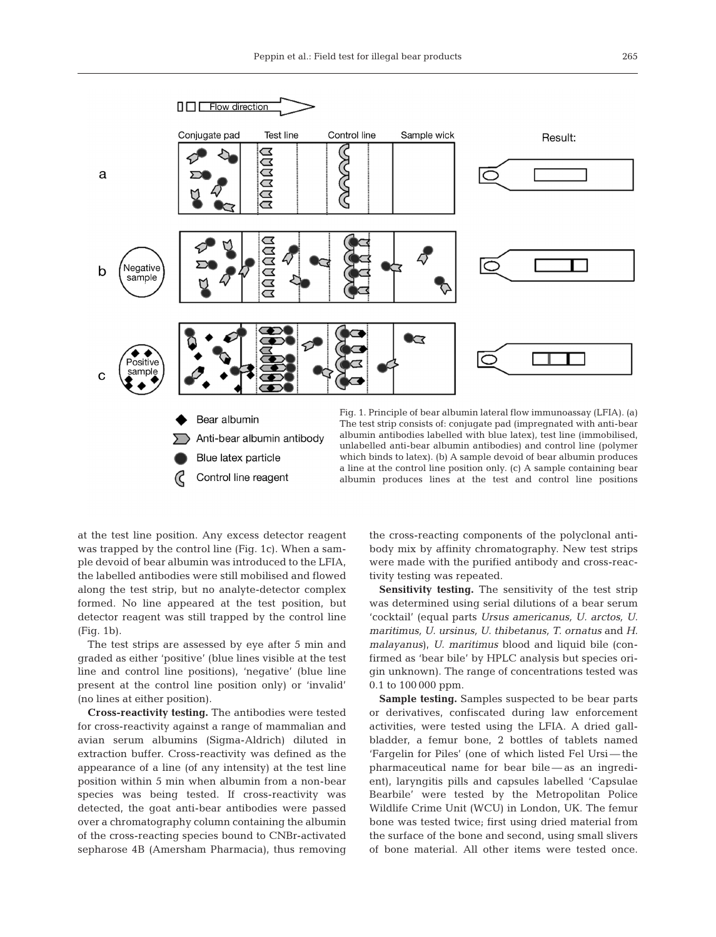

Control line reagent

a line at the control line position only. (c) A sample containing bear albumin produces lines at the test and control line positions

at the test line position. Any excess detector reagent was trapped by the control line (Fig. 1c). When a sample devoid of bear albumin was introduced to the LFIA, the labelled antibodies were still mobilised and flowed along the test strip, but no analyte-detector complex formed. No line appeared at the test position, but detector reagent was still trapped by the control line (Fig. 1b).

The test strips are assessed by eye after 5 min and graded as either 'positive' (blue lines visible at the test line and control line positions), 'negative' (blue line present at the control line position only) or 'invalid' (no lines at either position).

**Cross-reactivity testing.** The antibodies were tested for cross-reactivity against a range of mammalian and avian serum albumins (Sigma-Aldrich) diluted in extraction buffer. Cross-reactivity was defined as the appearance of a line (of any intensity) at the test line position within 5 min when albumin from a non-bear species was being tested. If cross-reactivity was detected, the goat anti-bear antibodies were passed over a chromatography column containing the albumin of the cross-reacting species bound to CNBr-activated sepharose 4B (Amersham Pharmacia), thus removing

the cross-reacting components of the polyclonal antibody mix by affinity chromatography. New test strips were made with the purified antibody and cross-reactivity testing was repeated.

**Sensitivity testing.** The sensitivity of the test strip was determined using serial dilutions of a bear serum 'cocktail' (equal parts *Ursus americanus, U. arctos, U. maritimus, U. ursinus, U. thibetanus, T. ornatus* and *H. malayanus*), *U. maritimus* blood and liquid bile (confirmed as 'bear bile' by HPLC analysis but species origin unknown). The range of concentrations tested was 0.1 to 100 000 ppm.

**Sample testing.** Samples suspected to be bear parts or derivatives, confiscated during law enforcement activities, were tested using the LFIA. A dried gallbladder, a femur bone, 2 bottles of tablets named 'Fargelin for Piles' (one of which listed Fel Ursi — the pharmaceutical name for bear bile — as an ingredient), laryngitis pills and capsules labelled 'Capsulae Bearbile' were tested by the Metropolitan Police Wildlife Crime Unit (WCU) in London, UK. The femur bone was tested twice; first using dried material from the surface of the bone and second, using small slivers of bone material. All other items were tested once.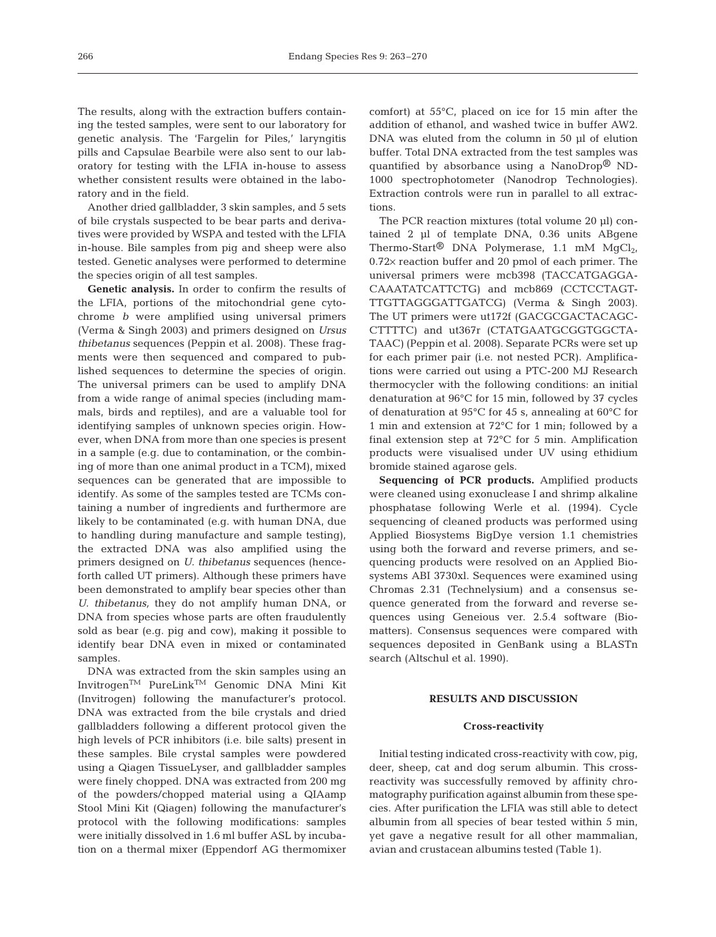The results, along with the extraction buffers containing the tested samples, were sent to our laboratory for genetic analysis. The 'Fargelin for Piles,' laryngitis pills and Capsulae Bearbile were also sent to our laboratory for testing with the LFIA in-house to assess whether consistent results were obtained in the laboratory and in the field.

Another dried gallbladder, 3 skin samples, and 5 sets of bile crystals suspected to be bear parts and derivatives were provided by WSPA and tested with the LFIA in-house. Bile samples from pig and sheep were also tested. Genetic analyses were performed to determine the species origin of all test samples.

**Genetic analysis.** In order to confirm the results of the LFIA, portions of the mitochondrial gene cytochrome *b* were amplified using universal primers (Verma & Singh 2003) and primers designed on *Ursus thibetanus* sequences (Peppin et al. 2008). These fragments were then sequenced and compared to published sequences to determine the species of origin. The universal primers can be used to amplify DNA from a wide range of animal species (including mammals, birds and reptiles), and are a valuable tool for identifying samples of unknown species origin. However, when DNA from more than one species is present in a sample (e.g. due to contamination, or the combining of more than one animal product in a TCM), mixed sequences can be generated that are impossible to identify. As some of the samples tested are TCMs containing a number of ingredients and furthermore are likely to be contaminated (e.g. with human DNA, due to handling during manufacture and sample testing), the extracted DNA was also amplified using the primers designed on *U. thibetanus* sequences (henceforth called UT primers). Although these primers have been demonstrated to amplify bear species other than *U. thibetanus,* they do not amplify human DNA, or DNA from species whose parts are often fraudulently sold as bear (e.g. pig and cow), making it possible to identify bear DNA even in mixed or contaminated samples.

DNA was extracted from the skin samples using an InvitrogenTM PureLinkTM Genomic DNA Mini Kit (Invitrogen) following the manufacturer's protocol. DNA was extracted from the bile crystals and dried gallbladders following a different protocol given the high levels of PCR inhibitors (i.e. bile salts) present in these samples. Bile crystal samples were powdered using a Qiagen TissueLyser, and gallbladder samples were finely chopped. DNA was extracted from 200 mg of the powders/chopped material using a QIAamp Stool Mini Kit (Qiagen) following the manufacturer's protocol with the following modifications: samples were initially dissolved in 1.6 ml buffer ASL by incubation on a thermal mixer (Eppendorf AG thermomixer

comfort) at 55°C, placed on ice for 15 min after the addition of ethanol, and washed twice in buffer AW2. DNA was eluted from the column in 50 ul of elution buffer. Total DNA extracted from the test samples was quantified by absorbance using a NanoDrop® ND-1000 spectrophotometer (Nanodrop Technologies). Extraction controls were run in parallel to all extractions.

The PCR reaction mixtures (total volume 20 µl) contained 2 µl of template DNA, 0.36 units ABgene Thermo-Start<sup>®</sup> DNA Polymerase, 1.1 mM  $MgCl<sub>2</sub>$ , 0.72× reaction buffer and 20 pmol of each primer. The universal primers were mcb398 (TACCATGAGGA-CAAATATCATTCTG) and mcb869 (CCTCCTAGT-TTGTTAGGGATTGATCG) (Verma & Singh 2003). The UT primers were ut172f (GACGCGACTACAGC-CTTTTC) and ut367r (CTATGAATGCGGTGGCTA-TAAC) (Peppin et al. 2008). Separate PCRs were set up for each primer pair (i.e. not nested PCR). Amplifications were carried out using a PTC-200 MJ Research thermocycler with the following conditions: an initial denaturation at 96°C for 15 min, followed by 37 cycles of denaturation at 95°C for 45 s, annealing at 60°C for 1 min and extension at 72°C for 1 min; followed by a final extension step at 72°C for 5 min. Amplification products were visualised under UV using ethidium bromide stained agarose gels.

**Sequencing of PCR products.** Amplified products were cleaned using exonuclease I and shrimp alkaline phosphatase following Werle et al. (1994). Cycle sequencing of cleaned products was performed using Applied Biosystems BigDye version 1.1 chemistries using both the forward and reverse primers, and sequencing products were resolved on an Applied Biosystems ABI 3730xl. Sequences were examined using Chromas 2.31 (Technelysium) and a consensus sequence generated from the forward and reverse sequences using Geneious ver. 2.5.4 software (Biomatters). Consensus sequences were compared with sequences deposited in GenBank using a BLASTn search (Altschul et al. 1990).

## **RESULTS AND DISCUSSION**

#### **Cross-reactivity**

Initial testing indicated cross-reactivity with cow, pig, deer, sheep, cat and dog serum albumin. This crossreactivity was successfully removed by affinity chromatography purification against albumin from these species. After purification the LFIA was still able to detect albumin from all species of bear tested within 5 min, yet gave a negative result for all other mammalian, avian and crustacean albumins tested (Table 1).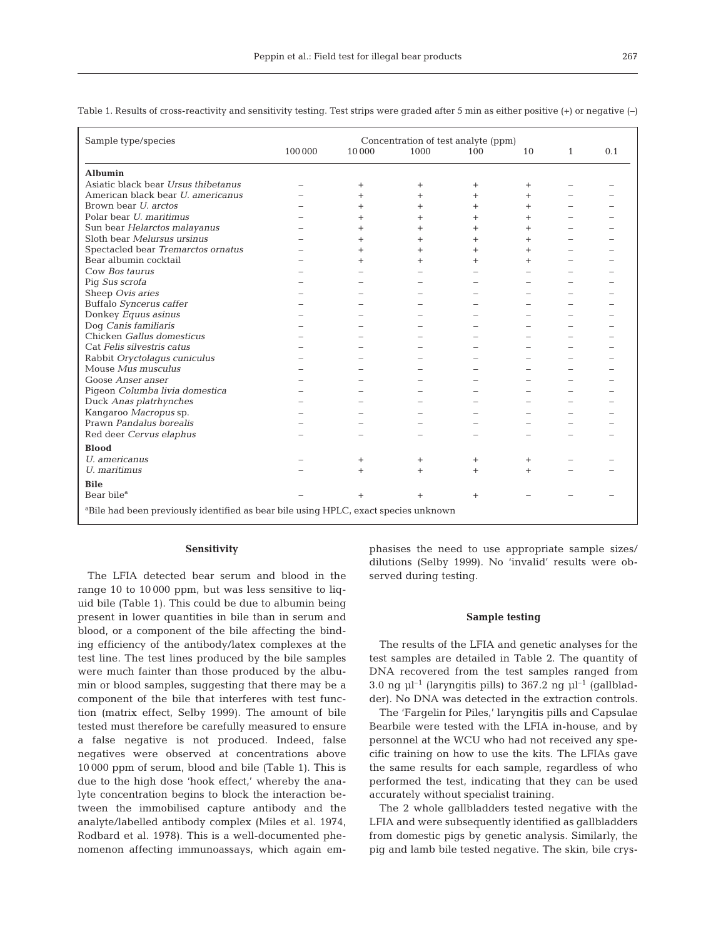| Sample type/species                                                                             | Concentration of test analyte (ppm) |           |        |           |        |              |     |
|-------------------------------------------------------------------------------------------------|-------------------------------------|-----------|--------|-----------|--------|--------------|-----|
|                                                                                                 | 100 000                             | 10000     | 1000   | 100       | 10     | $\mathbf{1}$ | 0.1 |
| Albumin                                                                                         |                                     |           |        |           |        |              |     |
| Asiatic black bear Ursus thibetanus                                                             |                                     | $\ddot{}$ | $^{+}$ | $\ddot{}$ | $\pm$  |              |     |
| American black bear U. americanus                                                               |                                     | $^{+}$    | $^{+}$ | $^{+}$    | $^{+}$ |              |     |
| Brown bear <i>U. arctos</i>                                                                     |                                     | $^{+}$    | $^+$   | $^{+}$    | $^{+}$ |              |     |
| Polar bear <i>U. maritimus</i>                                                                  |                                     | $^{+}$    | $\pm$  | $^{+}$    | $^+$   |              |     |
| Sun bear Helarctos malayanus                                                                    |                                     | $^{+}$    | $^{+}$ | $+$       | $^{+}$ |              |     |
| Sloth bear Melursus ursinus                                                                     |                                     | $^{+}$    | $^{+}$ | $\ddot{}$ | $^{+}$ |              |     |
| Spectacled bear Tremarctos ornatus                                                              |                                     | $^{+}$    |        | $^{+}$    | $^{+}$ |              |     |
| Bear albumin cocktail                                                                           |                                     | $^{+}$    |        | $^{+}$    | $^{+}$ |              |     |
| Cow Bos taurus                                                                                  |                                     |           |        |           |        |              |     |
| Piq Sus scrofa                                                                                  |                                     |           |        |           |        |              |     |
| Sheep Ovis aries                                                                                |                                     |           |        |           |        |              |     |
| Buffalo Syncerus caffer                                                                         |                                     |           |        |           |        |              |     |
| Donkey Equus asinus                                                                             |                                     |           |        |           |        |              |     |
| Dog Canis familiaris                                                                            |                                     |           |        |           |        |              |     |
| Chicken Gallus domesticus                                                                       |                                     |           |        |           |        |              |     |
| Cat Felis silvestris catus                                                                      |                                     |           |        |           |        |              |     |
| Rabbit Oryctolagus cuniculus                                                                    |                                     |           |        |           |        |              |     |
| Mouse Mus musculus                                                                              |                                     |           |        |           |        |              |     |
| Goose Anser anser                                                                               |                                     |           |        |           |        |              |     |
| Piqeon Columba livia domestica                                                                  |                                     |           |        |           |        |              |     |
| Duck Anas platrhynches                                                                          |                                     |           |        |           |        |              |     |
| Kangaroo Macropus sp.                                                                           |                                     |           |        |           |        |              |     |
| Prawn Pandalus borealis                                                                         |                                     |           |        |           |        |              |     |
| Red deer Cervus elaphus                                                                         |                                     |           |        |           |        |              |     |
| <b>Blood</b>                                                                                    |                                     |           |        |           |        |              |     |
| U. americanus                                                                                   |                                     | $\pm$     | $^+$   | $^{+}$    | $^{+}$ |              |     |
| U. maritimus                                                                                    |                                     | $^{+}$    | $^{+}$ | $+$       | $+$    |              |     |
| <b>Bile</b>                                                                                     |                                     |           |        |           |        |              |     |
| Bear bile <sup>a</sup>                                                                          |                                     | $+$       |        | $^{+}$    |        |              |     |
| <sup>a</sup> Bile had been previously identified as bear bile using HPLC, exact species unknown |                                     |           |        |           |        |              |     |

Table 1. Results of cross-reactivity and sensitivity testing. Test strips were graded after 5 min as either positive (+) or negative (–)

# **Sensitivity**

The LFIA detected bear serum and blood in the range 10 to 10 000 ppm, but was less sensitive to liquid bile (Table 1). This could be due to albumin being present in lower quantities in bile than in serum and blood, or a component of the bile affecting the binding efficiency of the antibody/latex complexes at the test line. The test lines produced by the bile samples were much fainter than those produced by the albumin or blood samples, suggesting that there may be a component of the bile that interferes with test function (matrix effect, Selby 1999). The amount of bile tested must therefore be carefully measured to ensure a false negative is not produced. Indeed, false negatives were observed at concentrations above 10 000 ppm of serum, blood and bile (Table 1). This is due to the high dose 'hook effect,' whereby the analyte concentration begins to block the interaction between the immobilised capture antibody and the analyte/labelled antibody complex (Miles et al. 1974, Rodbard et al. 1978). This is a well-documented phenomenon affecting immunoassays, which again em-

phasises the need to use appropriate sample sizes/ dilutions (Selby 1999). No 'invalid' results were observed during testing.

### **Sample testing**

The results of the LFIA and genetic analyses for the test samples are detailed in Table 2. The quantity of DNA recovered from the test samples ranged from 3.0 ng  $\mu$ l<sup>-1</sup> (laryngitis pills) to 367.2 ng  $\mu$ l<sup>-1</sup> (gallbladder). No DNA was detected in the extraction controls.

The 'Fargelin for Piles,' laryngitis pills and Capsulae Bearbile were tested with the LFIA in-house, and by personnel at the WCU who had not received any specific training on how to use the kits. The LFIAs gave the same results for each sample, regardless of who performed the test, indicating that they can be used accurately without specialist training.

The 2 whole gallbladders tested negative with the LFIA and were subsequently identified as gallbladders from domestic pigs by genetic analysis. Similarly, the pig and lamb bile tested negative. The skin, bile crys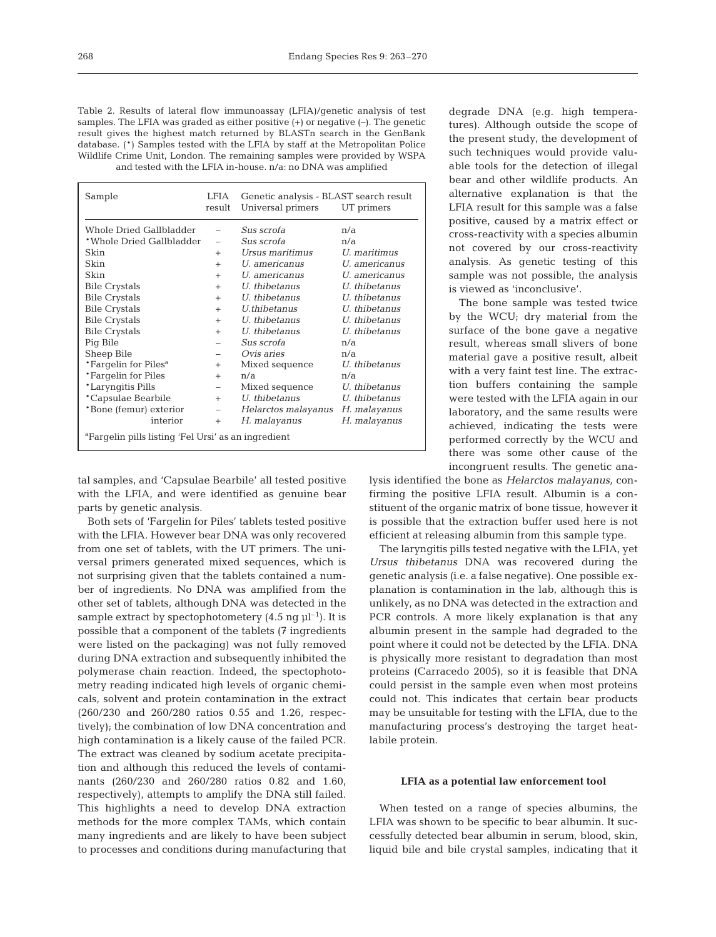Table 2. Results of lateral flow immunoassay (LFIA)/genetic analysis of test samples. The LFIA was graded as either positive (+) or negative (–). The genetic result gives the highest match returned by BLASTn search in the GenBank database. (\*) Samples tested with the LFIA by staff at the Metropolitan Police Wildlife Crime Unit, London. The remaining samples were provided by WSPA and tested with the LFIA in-house. n/a: no DNA was amplified

| Sample                                                          | LFIA<br>result           | Genetic analysis - BLAST search result<br>Universal primers<br>UT primers |               |  |  |  |
|-----------------------------------------------------------------|--------------------------|---------------------------------------------------------------------------|---------------|--|--|--|
| Whole Dried Gallbladder                                         | $\overline{a}$           | Sus scrofa                                                                | n/a           |  |  |  |
| *Whole Dried Gallbladder                                        | $\overline{\phantom{0}}$ | Sus scrofa                                                                | n/a           |  |  |  |
| Skin                                                            | $^{+}$                   | Ursus maritimus                                                           | U. maritimus  |  |  |  |
| Skin                                                            | $^{+}$                   | U. americanus                                                             | U. americanus |  |  |  |
| Skin                                                            | $+$                      | U. americanus                                                             | U. americanus |  |  |  |
| <b>Bile Crystals</b>                                            | $+$                      | U. thibetanus                                                             | U. thibetanus |  |  |  |
| <b>Bile Crystals</b>                                            | $+$                      | U. thibetanus                                                             | U. thibetanus |  |  |  |
| <b>Bile Crystals</b>                                            | $+$                      | <i>U.thibetanus</i>                                                       | U. thibetanus |  |  |  |
| <b>Bile Crystals</b>                                            | $+$                      | U. thibetanus                                                             | U. thibetanus |  |  |  |
| <b>Bile Crystals</b>                                            | $+$                      | U. thibetanus                                                             | U. thibetanus |  |  |  |
| Pig Bile                                                        |                          | Sus scrofa                                                                | n/a           |  |  |  |
| Sheep Bile                                                      | -                        | Ovis aries                                                                | n/a           |  |  |  |
| *Fargelin for Piles <sup>a</sup>                                | $^{+}$                   | Mixed sequence                                                            | U. thibetanus |  |  |  |
| *Fargelin for Piles                                             | $+$                      | n/a                                                                       | n/a           |  |  |  |
| *Laryngitis Pills                                               | $\overline{\phantom{0}}$ | Mixed sequence                                                            | U. thibetanus |  |  |  |
| *Capsulae Bearbile                                              | $+$                      | U. thibetanus                                                             | U. thibetanus |  |  |  |
| *Bone (femur) exterior                                          | $\overline{\phantom{m}}$ | Helarctos malayanus                                                       | H. malayanus  |  |  |  |
| interior                                                        | $+$                      | H. malayanus                                                              | H. malayanus  |  |  |  |
| <sup>a</sup> Farqelin pills listing 'Fel Ursi' as an ingredient |                          |                                                                           |               |  |  |  |

tal samples, and 'Capsulae Bearbile' all tested positive with the LFIA, and were identified as genuine bear parts by genetic analysis.

Both sets of 'Fargelin for Piles' tablets tested positive with the LFIA. However bear DNA was only recovered from one set of tablets, with the UT primers. The universal primers generated mixed sequences, which is not surprising given that the tablets contained a number of ingredients. No DNA was amplified from the other set of tablets, although DNA was detected in the sample extract by spectophotometery  $(4.5 \text{ ng } \mu^{-1})$ . It is possible that a component of the tablets (7 ingredients were listed on the packaging) was not fully removed during DNA extraction and subsequently inhibited the polymerase chain reaction. Indeed, the spectophotometry reading indicated high levels of organic chemicals, solvent and protein contamination in the extract (260/230 and 260/280 ratios 0.55 and 1.26, respectively); the combination of low DNA concentration and high contamination is a likely cause of the failed PCR. The extract was cleaned by sodium acetate precipitation and although this reduced the levels of contaminants (260/230 and 260/280 ratios 0.82 and 1.60, respectively), attempts to amplify the DNA still failed. This highlights a need to develop DNA extraction methods for the more complex TAMs, which contain many ingredients and are likely to have been subject to processes and conditions during manufacturing that degrade DNA (e.g. high temperatures). Although outside the scope of the present study, the development of such techniques would provide valuable tools for the detection of illegal bear and other wildlife products. An alternative explanation is that the LFIA result for this sample was a false positive, caused by a matrix effect or cross-reactivity with a species albumin not covered by our cross-reactivity analysis. As genetic testing of this sample was not possible, the analysis is viewed as 'inconclusive'.

The bone sample was tested twice by the WCU; dry material from the surface of the bone gave a negative result, whereas small slivers of bone material gave a positive result, albeit with a very faint test line. The extraction buffers containing the sample were tested with the LFIA again in our laboratory, and the same results were achieved, indicating the tests were performed correctly by the WCU and there was some other cause of the incongruent results. The genetic ana-

lysis identified the bone as *Helarctos malayanus,* confirming the positive LFIA result. Albumin is a constituent of the organic matrix of bone tissue, however it is possible that the extraction buffer used here is not efficient at releasing albumin from this sample type.

The laryngitis pills tested negative with the LFIA, yet *Ursus thibetanus* DNA was recovered during the genetic analysis (i.e. a false negative). One possible explanation is contamination in the lab, although this is unlikely, as no DNA was detected in the extraction and PCR controls. A more likely explanation is that any albumin present in the sample had degraded to the point where it could not be detected by the LFIA. DNA is physically more resistant to degradation than most proteins (Carracedo 2005), so it is feasible that DNA could persist in the sample even when most proteins could not. This indicates that certain bear products may be unsuitable for testing with the LFIA, due to the manufacturing process's destroying the target heatlabile protein.

## **LFIA as a potential law enforcement tool**

When tested on a range of species albumins, the LFIA was shown to be specific to bear albumin. It successfully detected bear albumin in serum, blood, skin, liquid bile and bile crystal samples, indicating that it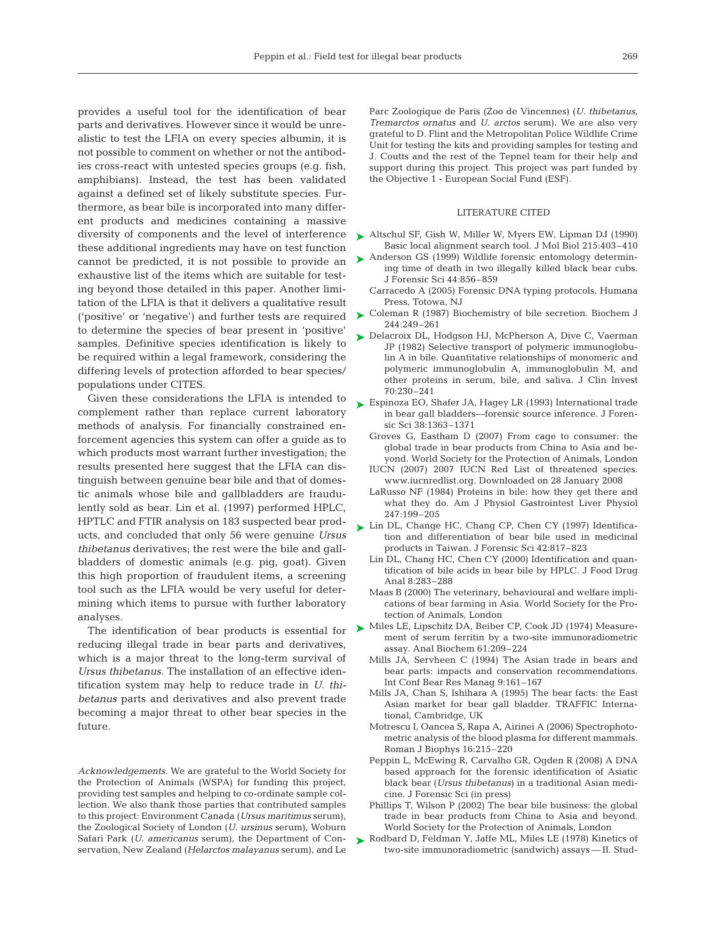provides a useful tool for the identification of bear parts and derivatives. However since it would be unrealistic to test the LFIA on every species albumin, it is not possible to comment on whether or not the antibodies cross-react with untested species groups (e.g. fish, amphibians). Instead, the test has been validated against a defined set of likely substitute species. Furthermore, as bear bile is incorporated into many different products and medicines containing a massive diversity of components and the level of interference these additional ingredients may have on test function cannot be predicted, it is not possible to provide an exhaustive list of the items which are suitable for testing beyond those detailed in this paper. Another limitation of the LFIA is that it delivers a qualitative result ('positive' or 'negative') and further tests are required to determine the species of bear present in 'positive' samples. Definitive species identification is likely to be required within a legal framework, considering the differing levels of protection afforded to bear species/ populations under CITES.

Given these considerations the LFIA is intended to complement rather than replace current laboratory methods of analysis. For financially constrained enforcement agencies this system can offer a guide as to which products most warrant further investigation; the results presented here suggest that the LFIA can distinguish between genuine bear bile and that of domestic animals whose bile and gallbladders are fraudulently sold as bear. Lin et al. (1997) performed HPLC, HPTLC and FTIR analysis on 183 suspected bear products, and concluded that only 56 were genuine *Ursus thibetanus* derivatives; the rest were the bile and gallbladders of domestic animals (e.g. pig, goat). Given this high proportion of fraudulent items, a screening tool such as the LFIA would be very useful for determining which items to pursue with further laboratory analyses.

The identification of bear products is essential for reducing illegal trade in bear parts and derivatives, which is a major threat to the long-term survival of *Ursus thibetanus*. The installation of an effective identification system may help to reduce trade in *U. thibetanus* parts and derivatives and also prevent trade becoming a major threat to other bear species in the future.

*Acknowledgements.* We are grateful to the World Society for the Protection of Animals (WSPA) for funding this project, providing test samples and helping to co-ordinate sample collection. We also thank those parties that contributed samples to this project: Environment Canada (*Ursus maritimus* serum), the Zoological Society of London (*U. ursinus* serum), Woburn Safari Park (*U. americanus* serum), the Department of Conservation, New Zealand (*Helarctos malayanus* serum), and Le

Parc Zoologique de Paris (Zoo de Vincennes) (*U. thibetanus, Tremarctos ornatus* and *U. arctos* serum). We are also very grateful to D. Flint and the Metropolitan Police Wildlife Crime Unit for testing the kits and providing samples for testing and J. Coutts and the rest of the Tepnel team for their help and support during this project. This project was part funded by the Objective 1 - European Social Fund (ESF).

## LITERATURE CITED

- ► Altschul SF, Gish W, Miller W, Myers EW, Lipman DJ (1990) Basic local alignment search tool. J Mol Biol 215:403–410
- ► Anderson GS (1999) Wildlife forensic entomology determining time of death in two illegally killed black bear cubs. J Forensic Sci 44:856–859
	- Carracedo A (2005) Forensic DNA typing protocols. Humana Press, Totowa, NJ
- ► Coleman R (1987) Biochemistry of bile secretion. Biochem J 244:249–261
- ► Delacroix DL, Hodgson HJ, McPherson A, Dive C, Vaerman JP (1982) Selective transport of polymeric immunoglobulin A in bile. Quantitative relationships of monomeric and polymeric immunoglobulin A, immunoglobulin M, and other proteins in serum, bile, and saliva. J Clin Invest 70:230–241
- ► Espinoza EO, Shafer JA, Hagey LR (1993) International trade in bear gall bladders—forensic source inference. J Forensic Sci 38:1363–1371
	- Groves G, Eastham D (2007) From cage to consumer: the global trade in bear products from China to Asia and beyond. World Society for the Protection of Animals, London
	- IUCN (2007) 2007 IUCN Red List of threatened species. www.iucnredlist.org. Downloaded on 28 January 2008
	- LaRusso NF (1984) Proteins in bile: how they get there and what they do. Am J Physiol Gastrointest Liver Physiol 247:199–205
- ► Lin DL, Change HC, Chang CP, Chen CY (1997) Identification and differentiation of bear bile used in medicinal products in Taiwan. J Forensic Sci 42:817–823
	- Lin DL, Chang HC, Chen CY (2000) Identification and quantification of bile acids in bear bile by HPLC. J Food Drug Anal 8:283–288
	- Maas B (2000) The veterinary, behavioural and welfare implications of bear farming in Asia. World Society for the Protection of Animals, London
- ► Miles LE, Lipschitz DA, Beiber CP, Cook JD (1974) Measurement of serum ferritin by a two-site immunoradiometric assay. Anal Biochem 61:209–224
	- Mills JA, Servheen C (1994) The Asian trade in bears and bear parts: impacts and conservation recommendations. Int Conf Bear Res Manag 9:161–167
	- Mills JA, Chan S, Ishihara A (1995) The bear facts: the East Asian market for bear gall bladder. TRAFFIC International, Cambridge, UK
	- Motrescu I, Oancea S, Rapa A, Airinei A (2006) Spectrophotometric analysis of the blood plasma for different mammals. Roman J Biophys 16:215–220
	- Peppin L, McEwing R, Carvalho GR, Ogden R (2008) A DNA based approach for the forensic identification of Asiatic black bear (*Ursus thibetanus*) in a traditional Asian medicine. J Forensic Sci (in press)
	- Phillips T, Wilson P (2002) The bear bile business: the global trade in bear products from China to Asia and beyond. World Society for the Protection of Animals, London
- ▶ Rodbard D, Feldman Y, Jaffe ML, Miles LE (1978) Kinetics of two-site immunoradiometric (sandwich) assays — II. Stud-